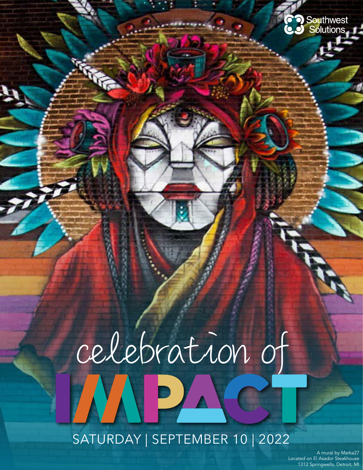# celebration of MPA

SATURDAY | SEPTEMBER 10 | 2022

A mural by Marka27 Located on El Asador Steakhouse 1312 Springwells, Detroit, MI

**CO** Southwest<br>**CO** Solutions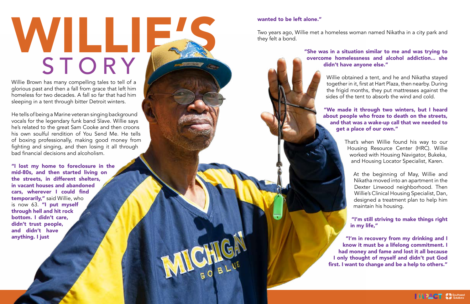# WILLIE. STORY

Willie Brown has many compelling tales to tell of a glorious past and then a fall from grace that left him homeless for two decades. A fall so far that had him sleeping in a tent through bitter Detroit winters.

He tells of being a Marine veteran singing background vocals for the legendary funk band Slave. Willie says he's related to the great Sam Cooke and then croons his own soulful rendition of You Send Me. He tells of boxing professionally, making good money from fighting and singing, and then losing it all through bad financial decisions and alcoholism.

"I lost my home to foreclosure in the mid-80s, and then started living on the streets, in different shelters, in vacant houses and abandoned cars, wherever I could find temporarily," said Willie, who is now 63. "I put myself through hell and hit rock bottom. I didn't care, didn't trust people, and didn't have anything. I just

#### wanted to be left alone."

Two years ago, Willie met a homeless woman named Nikatha in a city park and they felt a bond.

> "She was in a situation similar to me and was trying to overcome homelessness and alcohol addiction... she didn't have anyone else."

> > Willie obtained a tent, and he and Nikatha stayed together in it, first at Hart Plaza, then nearby. During the frigid months, they put mattresses against the sides of the tent to absorb the wind and cold.

#### "We made it through two winters, but I heard about people who froze to death on the streets, and that was a wake-up call that we needed to get a place of our own."

That's when Willie found his way to our Housing Resource Center (HRC). Willie worked with Housing Navigator, Bukeka, and Housing Locator Specialist, Karen.



At the beginning of May, Willie and Nikatha moved into an apartment in the Dexter Linwood neighborhood. Then Willie's Clinical Housing Specialist, Dan, designed a treatment plan to help him maintain his housing.

"I'm still striving to make things right in my life,"

"I'm in recovery from my drinking and I know it must be a lifelong commitment. I had money and fame and lost it all because I only thought of myself and didn't put God first. I want to change and be a help to others."

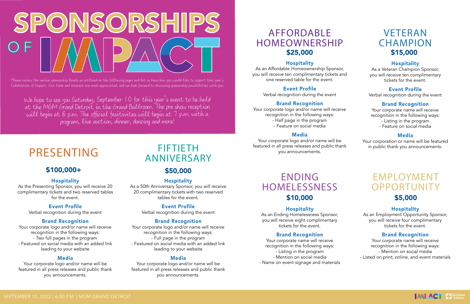#### Hospitality

As the Presenting Sponsor, you will receive 20 complimentary tickets and two reserved tables for the event.

#### Event Profile

Verbal recognition during the event

#### Brand Recognition

Your corporate logo and/or name will receive recognition in the following ways: - Two full pages in the program - Featured on social media with an added link leading to your website

#### Media

Your corporate logo and/or name will receive recognition in the following ways: - Full page in the program - Featured on social media with an added link leading to your website

Your corporate logo and/or name will be featured in all press releases and public thank you announcements.

#### Hospitality

As a 50th Anniversary Sponsor, you will receive 20 complimentary tickets with two reserved tables for the event.

> Event Profile Verbal recognition during the event

Your corporate logo and/or name will receive recognition in the following ways:

#### Brand Recognition

#### Media

Your corporate logo and/or name will be featured in all press releases and public thank you announcements.

## PRESENTING

### \$100,000+

As an Affordable Homeownership Sponsor, you will receive ten complimentary tickets and one reserved table for the event.

#### Event Profile

Verbal recognition during the event

#### Brand Recognition

- Half page in the program

- Feature on social media

#### Media

Your corporate logo and/or name will be featured in all press releases and public thank you announcements.

### \$50,000

## FIFTIETH ANNIVERSARY

## AFFORDABLE HOMEOWNERSHIP \$25,000

#### **Hospitality**

Please review the various sponsorship levels as outlined on the following pages and let us know how you would like to support this year's Celebration of Impact. Your time and interest are much appreciated, and we look forward to discussing sponsorship possibilities with you.

#### Hospitality

As a Veteran Champion Sponsor, you will receive ten complimentary tickets for the event.

#### Event Profile

Verbal recognition during the event

#### Brand Recognition

### VETERAN **CHAMPION** \$15,000

Your corporate name will receive recognition in the following ways: - Listing in the program - Feature on social media

#### Media

## ENDING **HOMELESSNESS** \$10,000

#### **Hospitality**

Your corporation or name will be featured in public thank you announcements.

### EMPLOYMENT **OPPORTUNITY** \$5,000

As an Ending Homelessness Sponsor, you will receive eight complimentary tickets for the event.

#### Brand Recognition

Your corporate name will receive recognition in the following ways: - Listing in the program - Mention on social media - Name on event signage and materials

#### Hospitality

As an Employment Opportunity Sponsor, you will receive four complimentary tickets for the event.

#### Brand Recognition

Your corporate name will receive recognition in the following ways: - Mention on social media - Listed on print, online, and event materials



We hope to see you Saturday, September 10 for this year's event to be held at the MGM Grand Detroit in the Grand Ballroom. The pre show reception will begin at 6 p.m. The official fesitivites will begin at 7 p.m. with a program, live auction, dinner, dancing and more!

# SPONSORSHIPS O F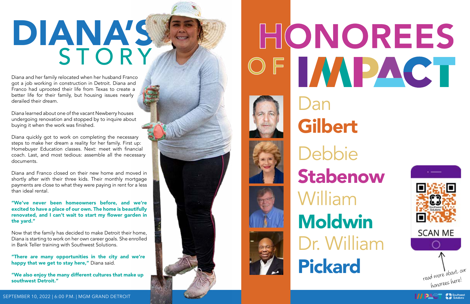## DIANA'S, STORY

Diana and her family relocated when her husband Franco got a job working in construction in Detroit. Diana and Franco had uprooted their life from Texas to create a better life for their family, but housing issues nearly derailed their dream.

Diana learned about one of the vacant Newberry houses undergoing renovation and stopped by to inquire about buying it when the work was finished.

Diana quickly got to work on completing the necessary steps to make her dream a reality for her family. First up: Homebuyer Education classes. Next: meet with financial coach. Last, and most tedious: assemble all the necessary documents.

"There are many opportunities in the city and we're happy that we get to stay here," Diana said.

Diana and Franco closed on their new home and moved in shortly after with their three kids. Their monthly mortgage payments are close to what they were paying in rent for a less than ideal rental.

#### "We've never been homeowners before, and we're excited to have a place of our own. The home is beautifully renovated, and I can't wait to start my flower garden in the yard."

Now that the family has decided to make Detroit their home, Diana is starting to work on her own career goals. She enrolled in Bank Teller training with Southwest Solutions.

"We also enjoy the many different cultures that make up southwest Detroit."